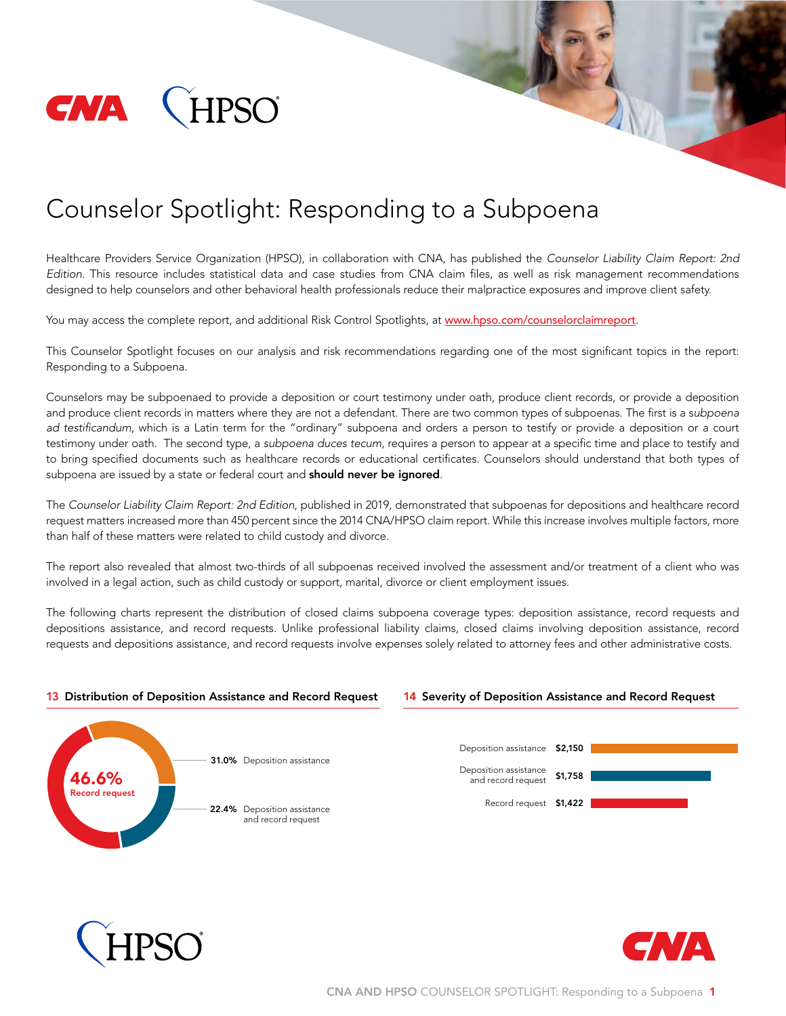

# Counselor Spotlight: Responding to a Subpoena

Healthcare Providers Service Organization (HPSO), in collaboration with CNA, has published the *Counselor Liability Claim Report: 2nd Edition.* This resource includes statistical data and case studies from CNA claim files, as well as risk management recommendations designed to help counselors and other behavioral health professionals reduce their malpractice exposures and improve client safety.

You may access the complete report, and additional Risk Control Spotlights, at www.hpso.com/counselorclaimreport.

This Counselor Spotlight focuses on our analysis and risk recommendations regarding one of the most significant topics in the report: Responding to a Subpoena.

Counselors may be subpoenaed to provide a deposition or court testimony under oath, produce client records, or provide a deposition and produce client records in matters where they are not a defendant. There are two common types of subpoenas. The first is a s*ubpoena ad testificandum*, which is a Latin term for the "ordinary" subpoena and orders a person to testify or provide a deposition or a court testimony under oath. The second type, a *subpoena duces tecum*, requires a person to appear at a specific time and place to testify and to bring specified documents such as healthcare records or educational certificates. Counselors should understand that both types of subpoena are issued by a state or federal court and **should never be ignored**.

The *Counselor Liability Claim Report: 2nd Edition*, published in 2019, demonstrated that subpoenas for depositions and healthcare record request matters increased more than 450 percent since the 2014 CNA/HPSO claim report. While this increase involves multiple factors, more than half of these matters were related to child custody and divorce.

The report also revealed that almost two-thirds of all subpoenas received involved the assessment and/or treatment of a client who was involved in a legal action, such as child custody or support, marital, divorce or client employment issues.

The following charts represent the distribution of closed claims subpoena coverage types: deposition assistance, record requests and depositions assistance, and record requests. Unlike professional liability claims, closed claims involving deposition assistance, record requests and depositions assistance, and record requests involve expenses solely related to attorney fees and other administrative costs.

#### 13 Distribution of Deposition Assistance and Record Request







14 Severity of Deposition Assistance and Record Request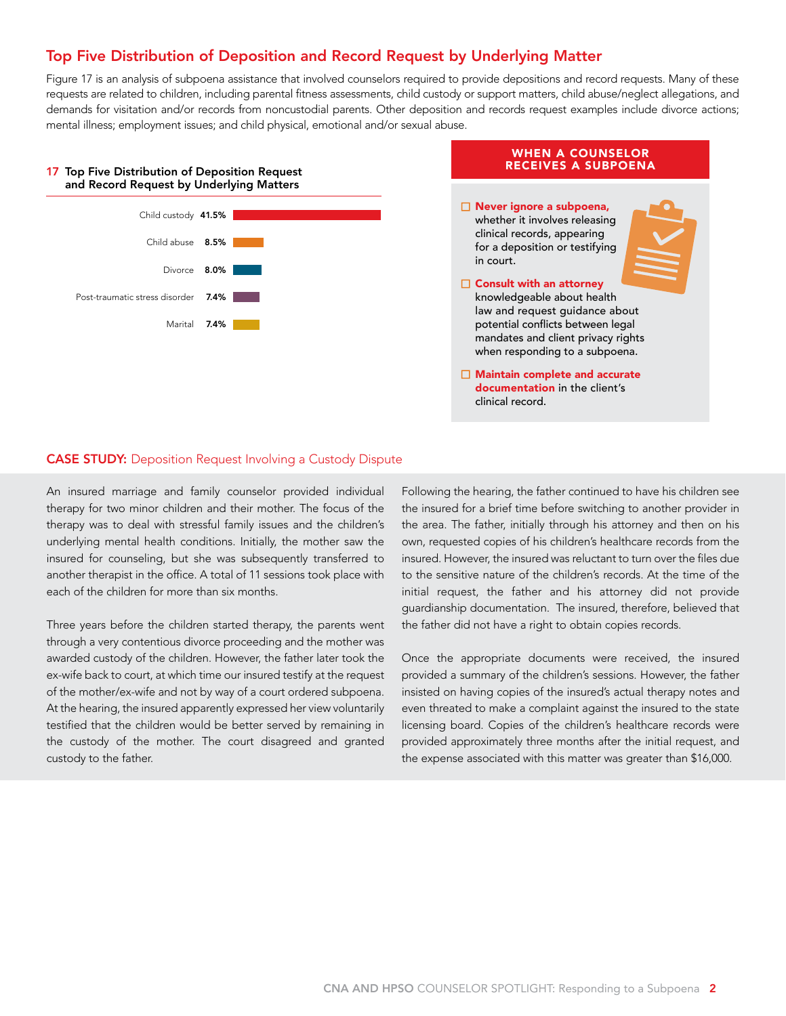## Top Five Distribution of Deposition and Record Request by Underlying Matter

Figure 17 is an analysis of subpoena assistance that involved counselors required to provide depositions and record requests. Many of these requests are related to children, including parental fitness assessments, child custody or support matters, child abuse/neglect allegations, and demands for visitation and/or records from noncustodial parents. Other deposition and records request examples include divorce actions; mental illness; employment issues; and child physical, emotional and/or sexual abuse.

#### 17 Top Five Distribution of Deposition Request and Record Request by Underlying Matters



## WHEN A COUNSELOR RECEIVES A SUBPOENA  $\Box$  Never ignore a subpoena, whether it involves releasing clinical records, appearing for a deposition or testifying in court.  $\Box$  Consult with an attorney knowledgeable about health law and request guidance about potential conflicts between legal mandates and client privacy rights when responding to a subpoena.  $\Box$  Maintain complete and accurate documentation in the client's clinical record.

### CASE STUDY: Deposition Request Involving a Custody Dispute

An insured marriage and family counselor provided individual therapy for two minor children and their mother. The focus of the therapy was to deal with stressful family issues and the children's underlying mental health conditions. Initially, the mother saw the insured for counseling, but she was subsequently transferred to another therapist in the office. A total of 11 sessions took place with each of the children for more than six months.

Three years before the children started therapy, the parents went through a very contentious divorce proceeding and the mother was awarded custody of the children. However, the father later took the ex-wife back to court, at which time our insured testify at the request of the mother/ex-wife and not by way of a court ordered subpoena. At the hearing, the insured apparently expressed her view voluntarily testified that the children would be better served by remaining in the custody of the mother. The court disagreed and granted custody to the father.

Following the hearing, the father continued to have his children see the insured for a brief time before switching to another provider in the area. The father, initially through his attorney and then on his own, requested copies of his children's healthcare records from the insured. However, the insured was reluctant to turn over the files due to the sensitive nature of the children's records. At the time of the initial request, the father and his attorney did not provide guardianship documentation. The insured, therefore, believed that the father did not have a right to obtain copies records.

Once the appropriate documents were received, the insured provided a summary of the children's sessions. However, the father insisted on having copies of the insured's actual therapy notes and even threated to make a complaint against the insured to the state licensing board. Copies of the children's healthcare records were provided approximately three months after the initial request, and the expense associated with this matter was greater than \$16,000.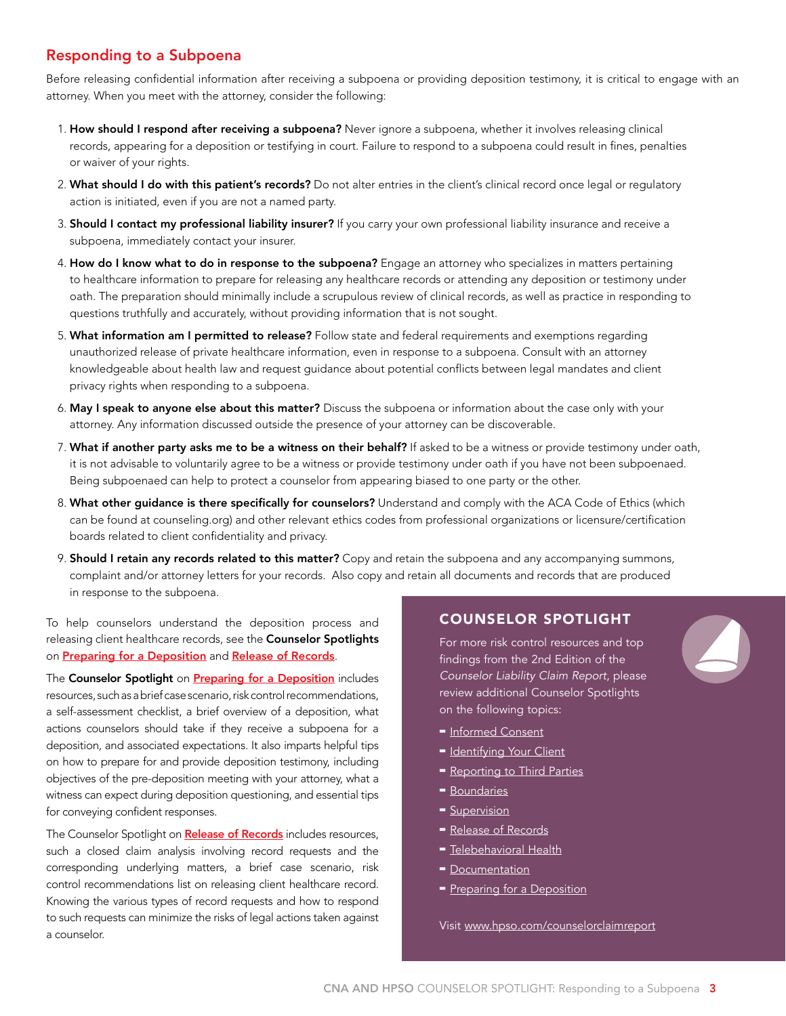# Responding to a Subpoena

Before releasing confidential information after receiving a subpoena or providing deposition testimony, it is critical to engage with an attorney. When you meet with the attorney, consider the following:

- 1. How should I respond after receiving a subpoena? Never ignore a subpoena, whether it involves releasing clinical records, appearing for a deposition or testifying in court. Failure to respond to a subpoena could result in fines, penalties or waiver of your rights.
- 2. What should I do with this patient's records? Do not alter entries in the client's clinical record once legal or regulatory action is initiated, even if you are not a named party.
- 3. Should I contact my professional liability insurer? If you carry your own professional liability insurance and receive a subpoena, immediately contact your insurer.
- 4. How do I know what to do in response to the subpoena? Engage an attorney who specializes in matters pertaining to healthcare information to prepare for releasing any healthcare records or attending any deposition or testimony under oath. The preparation should minimally include a scrupulous review of clinical records, as well as practice in responding to questions truthfully and accurately, without providing information that is not sought.
- 5. What information am I permitted to release? Follow state and federal requirements and exemptions regarding unauthorized release of private healthcare information, even in response to a subpoena. Consult with an attorney knowledgeable about health law and request guidance about potential conflicts between legal mandates and client privacy rights when responding to a subpoena.
- 6. May I speak to anyone else about this matter? Discuss the subpoena or information about the case only with your attorney. Any information discussed outside the presence of your attorney can be discoverable.
- 7. What if another party asks me to be a witness on their behalf? If asked to be a witness or provide testimony under oath, it is not advisable to voluntarily agree to be a witness or provide testimony under oath if you have not been subpoenaed. Being subpoenaed can help to protect a counselor from appearing biased to one party or the other.
- 8. What other quidance is there specifically for counselors? Understand and comply with the ACA Code of Ethics (which can be found at counseling.org) and other relevant ethics codes from professional organizations or licensure/certification boards related to client confidentiality and privacy.
- 9. Should I retain any records related to this matter? Copy and retain the subpoena and any accompanying summons, complaint and/or attorney letters for your records. Also copy and retain all documents and records that are produced in response to the subpoena.

To help counselors understand the deposition process and releasing client healthcare records, see the **Counselor Spotlights** on [Preparing for a Deposition](http://www.hpso.com/counselorclaimreport_preparedepo) and [Release of Records](http://www.hpso.com/counselorclaimreport_records).

The Counselor Spotlight on **[Preparing for a Deposition](http://www.hpso.com/counselorclaimreport_preparedepo)** includes resources, such as a brief case scenario, risk control recommendations, a self-assessment checklist, a brief overview of a deposition, what actions counselors should take if they receive a subpoena for a deposition, and associated expectations. It also imparts helpful tips on how to prepare for and provide deposition testimony, including objectives of the pre-deposition meeting with your attorney, what a witness can expect during deposition questioning, and essential tips for conveying confident responses.

The Counselor Spotlight on [Release of Records](http://www.hpso.com/counselorclaimreport_records) includes resources, such a closed claim analysis involving record requests and the corresponding underlying matters, a brief case scenario, risk control recommendations list on releasing client healthcare record. Knowing the various types of record requests and how to respond to such requests can minimize the risks of legal actions taken against a counselor.

## COUNSELOR SPOTLIGHT

For more risk control resources and top findings from the 2nd Edition of the *Counselor Liability Claim Report*, please review additional Counselor Spotlights on the following topics:

- $=$  [Informed Consent](http://www.hpso.com/counselorclaimreport_informedconsent)
- [Identifying Your Client](http://www.hpso.com/counselorclaimreport_client)
- [Reporting to Third Parties](http://www.hpso.com/counselorclaimreport_thirdparties)
- **[Boundaries](http://www.hpso.com/counselorclaimreport_boundaries)**
- **-** [Supervision](http://www.hpso.com/counselorclaimreport_supervision)
- [Release of Records](http://www.hpso.com/counselorclaimreport_records)
- **-** [Telebehavioral Health](http://www.hpso.com/counselorclaimreport_telebehavioralhealth)
- $\blacksquare$  [Documentation](http://www.hpso.com/counselorclaimreport_documentation)
- [Preparing for a Deposition](http://www.hpso.com/counselorclaimreport_preparedepo)

Visit www.hpso.com/counselorclaimreport